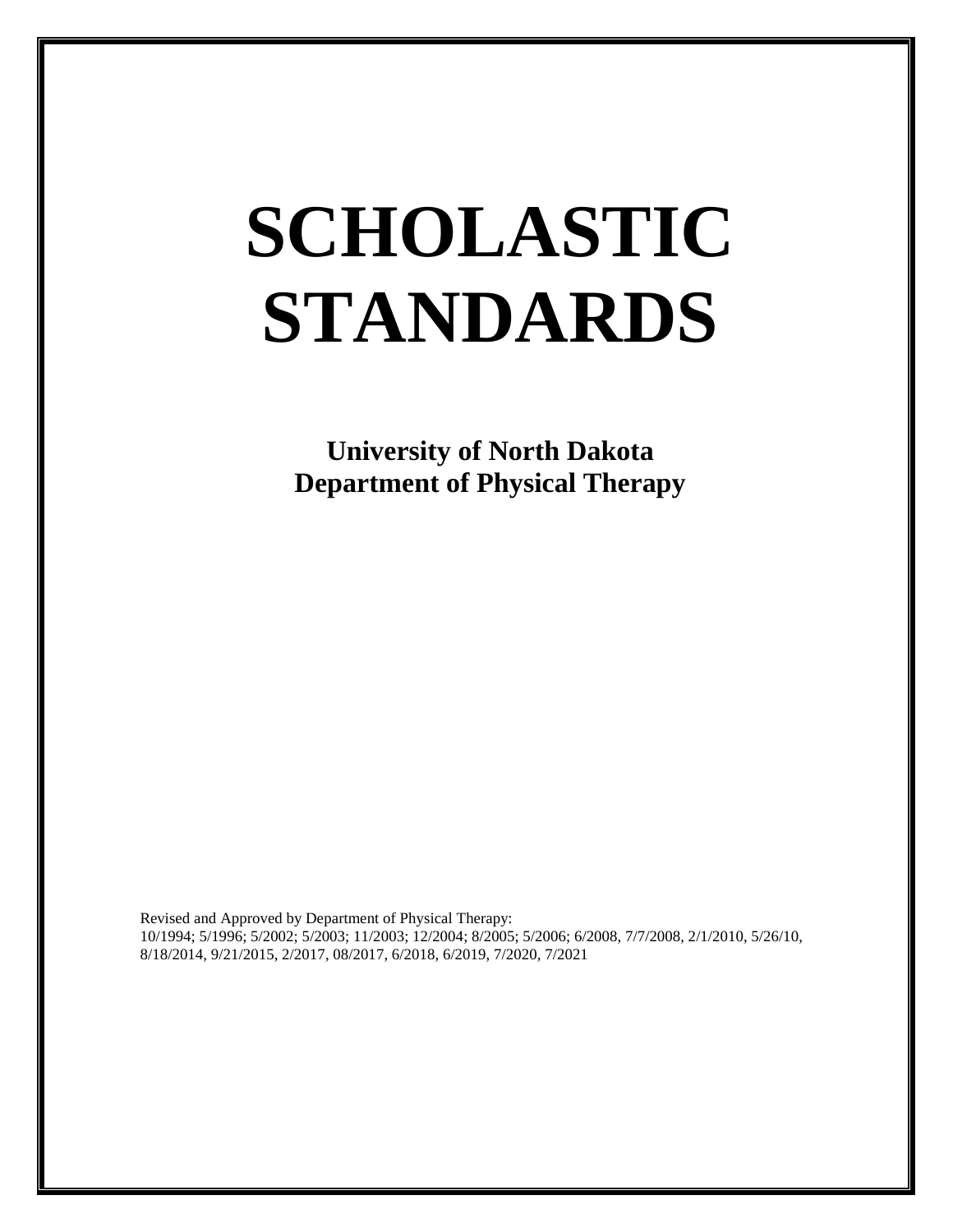# **SCHOLASTIC STANDARDS**

**University of North Dakota Department of Physical Therapy**

Revised and Approved by Department of Physical Therapy: 10/1994; 5/1996; 5/2002; 5/2003; 11/2003; 12/2004; 8/2005; 5/2006; 6/2008, 7/7/2008, 2/1/2010, 5/26/10, 8/18/2014, 9/21/2015, 2/2017, 08/2017, 6/2018, 6/2019, 7/2020, 7/2021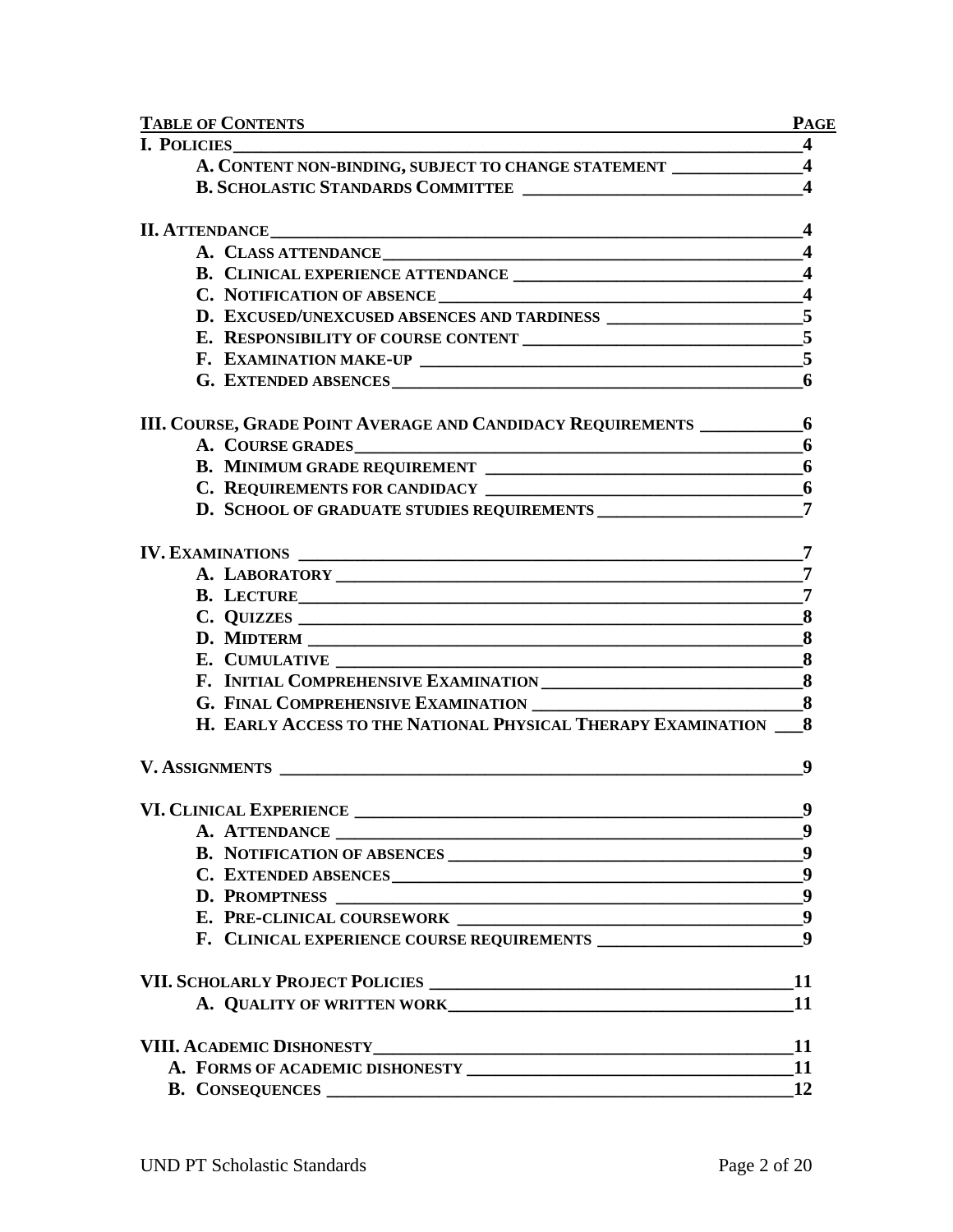| <b>TABLE OF CONTENTS</b><br><u> 1980 - Jan Barnett, mars et al. (b. 1980)</u> | <b>PAGE</b>             |
|-------------------------------------------------------------------------------|-------------------------|
| $\sim$ 4                                                                      |                         |
| A. CONTENT NON-BINDING, SUBJECT TO CHANGE STATEMENT ______________4           |                         |
| B. SCHOLASTIC STANDARDS COMMITTEE                                             | $\blacktriangleleft$    |
| II. ATTENDANCE <b>AUGUST AUGUST</b> 1995                                      | $\overline{\mathbf{4}}$ |
|                                                                               | $\boldsymbol{4}$        |
|                                                                               |                         |
|                                                                               |                         |
| D. EXCUSED/UNEXCUSED ABSENCES AND TARDINESS ____________________5             |                         |
|                                                                               | 5                       |
|                                                                               |                         |
|                                                                               | 6                       |
| III. COURSE, GRADE POINT AVERAGE AND CANDIDACY REQUIREMENTS 6                 |                         |
| A. COURSE GRADES                                                              | 6                       |
|                                                                               |                         |
|                                                                               | 6                       |
| <b>D. SCHOOL OF GRADUATE STUDIES REQUIREMENTS</b>                             | $\overline{7}$          |
|                                                                               | 7                       |
|                                                                               |                         |
| B. LECTURE                                                                    | $\overline{7}$          |
|                                                                               | 8                       |
|                                                                               | 8                       |
|                                                                               |                         |
|                                                                               | 8                       |
|                                                                               | 8                       |
| H. EARLY ACCESS TO THE NATIONAL PHYSICAL THERAPY EXAMINATION                  | 8                       |
| V. ASSIGNMENTS                                                                | 9                       |
| VI. CLINICAL EXPERIENCE                                                       | 9                       |
|                                                                               | $\boldsymbol{9}$        |
|                                                                               |                         |
| C. EXTENDED ABSENCES                                                          | 9                       |
|                                                                               | $\boldsymbol{9}$        |
|                                                                               | 9                       |
|                                                                               | 9                       |
|                                                                               | <b>11</b>               |
| A. QUALITY OF WRITTEN WORK <b>AND INSTITUTE OF A SET AND RESIDENT</b>         | <b>11</b>               |
|                                                                               | 11                      |
|                                                                               |                         |
| B. CONSEQUENCES                                                               | <b>12</b>               |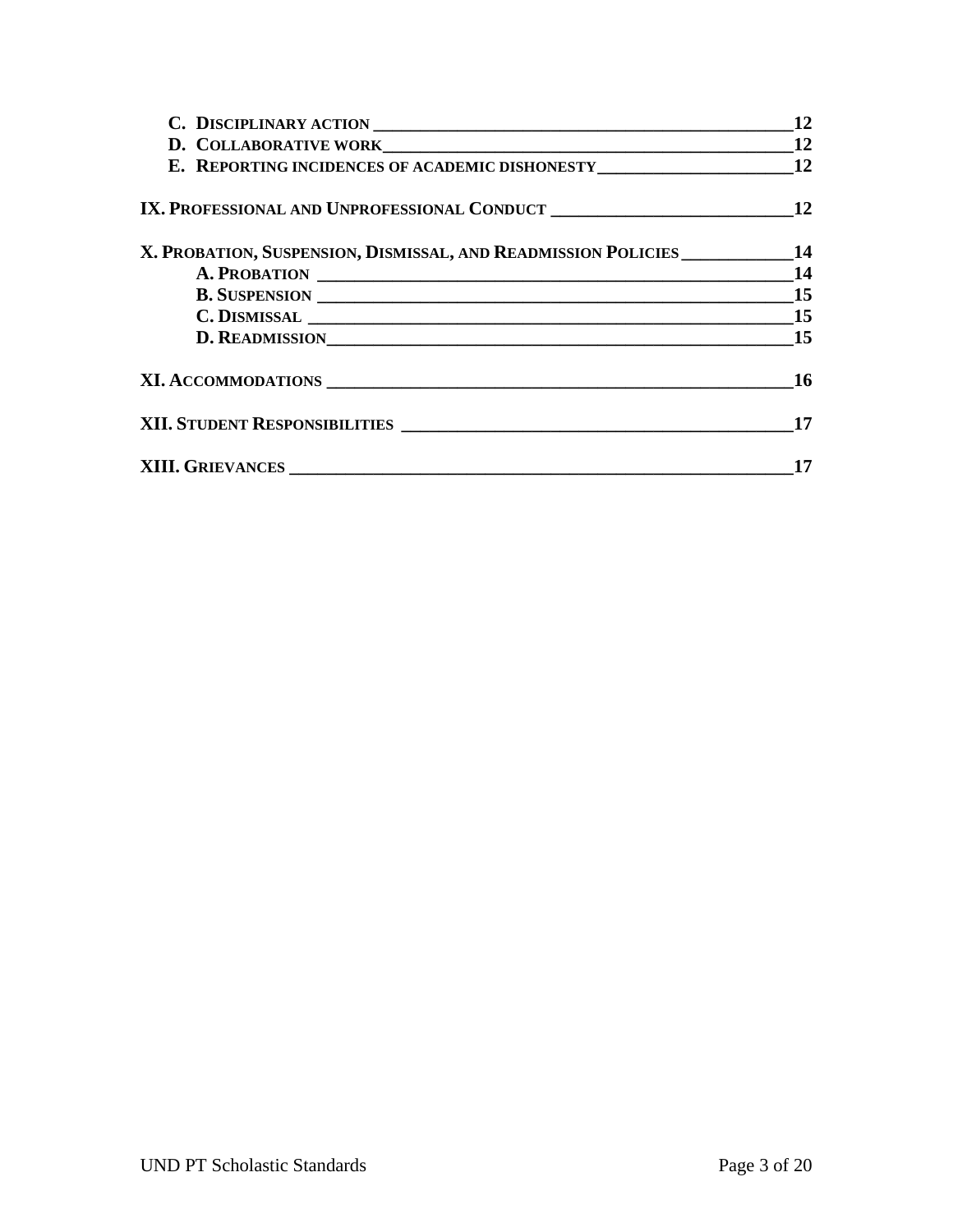|                                                                                     | 12 |
|-------------------------------------------------------------------------------------|----|
|                                                                                     | 12 |
| E. REPORTING INCIDENCES OF ACADEMIC DISHONESTY __________________________________12 |    |
|                                                                                     | 12 |
| X. PROBATION, SUSPENSION, DISMISSAL, AND READMISSION POLICIES ___________14         |    |
|                                                                                     | 14 |
|                                                                                     |    |
| $C.$ DISMISSAL $\_\_$ 15                                                            |    |
| D. READMISSIONNALLED AND THE READMISSION                                            | 15 |
|                                                                                     | 16 |
| XII. STUDENT RESPONSIBILITIES                                                       | 17 |
|                                                                                     |    |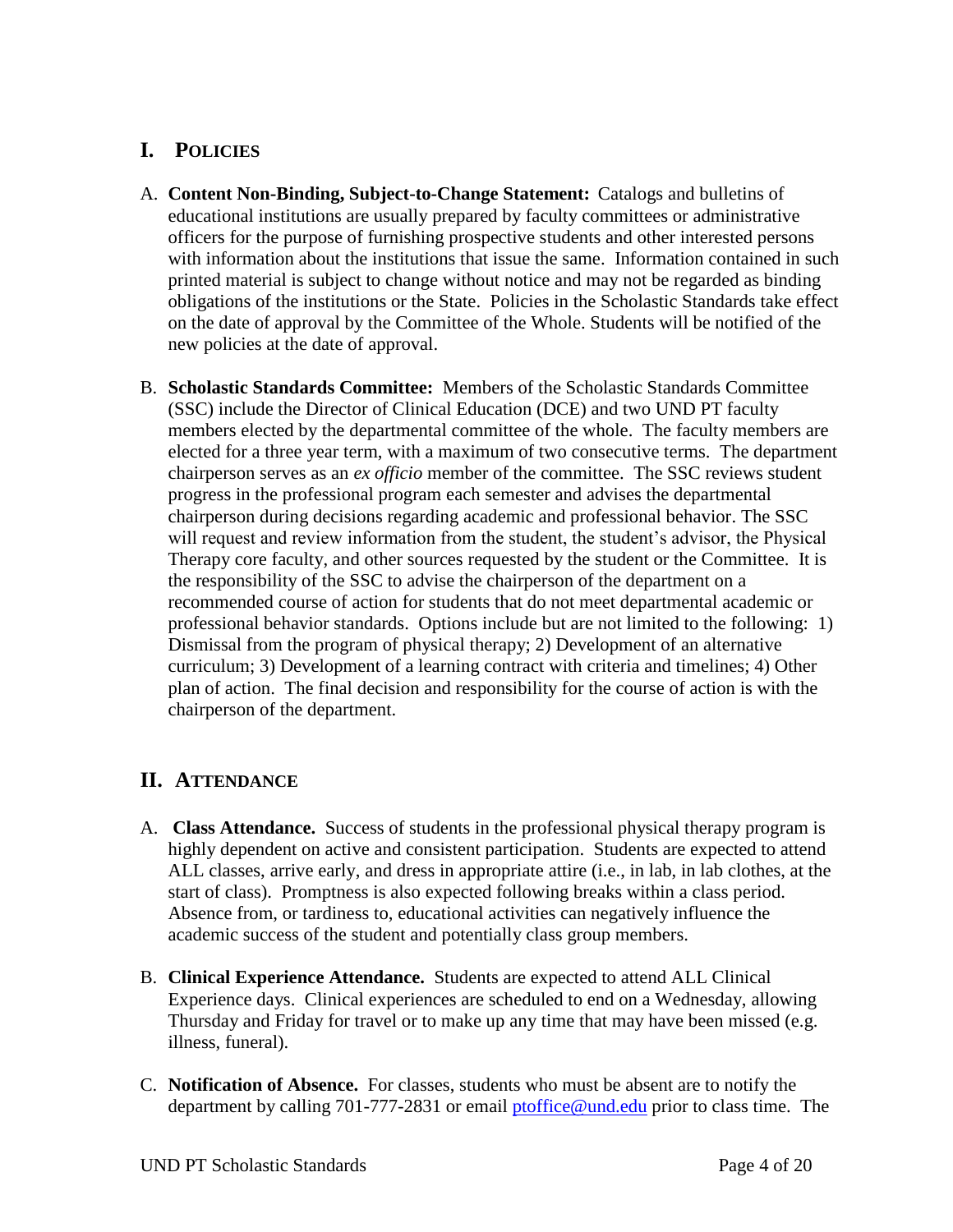# **I. POLICIES**

- A. **Content Non-Binding, Subject-to-Change Statement:** Catalogs and bulletins of educational institutions are usually prepared by faculty committees or administrative officers for the purpose of furnishing prospective students and other interested persons with information about the institutions that issue the same. Information contained in such printed material is subject to change without notice and may not be regarded as binding obligations of the institutions or the State. Policies in the Scholastic Standards take effect on the date of approval by the Committee of the Whole. Students will be notified of the new policies at the date of approval.
- B. **Scholastic Standards Committee:** Members of the Scholastic Standards Committee (SSC) include the Director of Clinical Education (DCE) and two UND PT faculty members elected by the departmental committee of the whole. The faculty members are elected for a three year term, with a maximum of two consecutive terms. The department chairperson serves as an *ex officio* member of the committee. The SSC reviews student progress in the professional program each semester and advises the departmental chairperson during decisions regarding academic and professional behavior. The SSC will request and review information from the student, the student's advisor, the Physical Therapy core faculty, and other sources requested by the student or the Committee. It is the responsibility of the SSC to advise the chairperson of the department on a recommended course of action for students that do not meet departmental academic or professional behavior standards. Options include but are not limited to the following: 1) Dismissal from the program of physical therapy; 2) Development of an alternative curriculum; 3) Development of a learning contract with criteria and timelines; 4) Other plan of action. The final decision and responsibility for the course of action is with the chairperson of the department.

# **II. ATTENDANCE**

- A. **Class Attendance.** Success of students in the professional physical therapy program is highly dependent on active and consistent participation. Students are expected to attend ALL classes, arrive early, and dress in appropriate attire (i.e., in lab, in lab clothes, at the start of class). Promptness is also expected following breaks within a class period. Absence from, or tardiness to, educational activities can negatively influence the academic success of the student and potentially class group members.
- B. **Clinical Experience Attendance.** Students are expected to attend ALL Clinical Experience days. Clinical experiences are scheduled to end on a Wednesday, allowing Thursday and Friday for travel or to make up any time that may have been missed (e.g. illness, funeral).
- C. **Notification of Absence.** For classes, students who must be absent are to notify the department by calling 701-777-2831 or email [ptoffice@und.edu](mailto:ptoffice@und.edu) prior to class time. The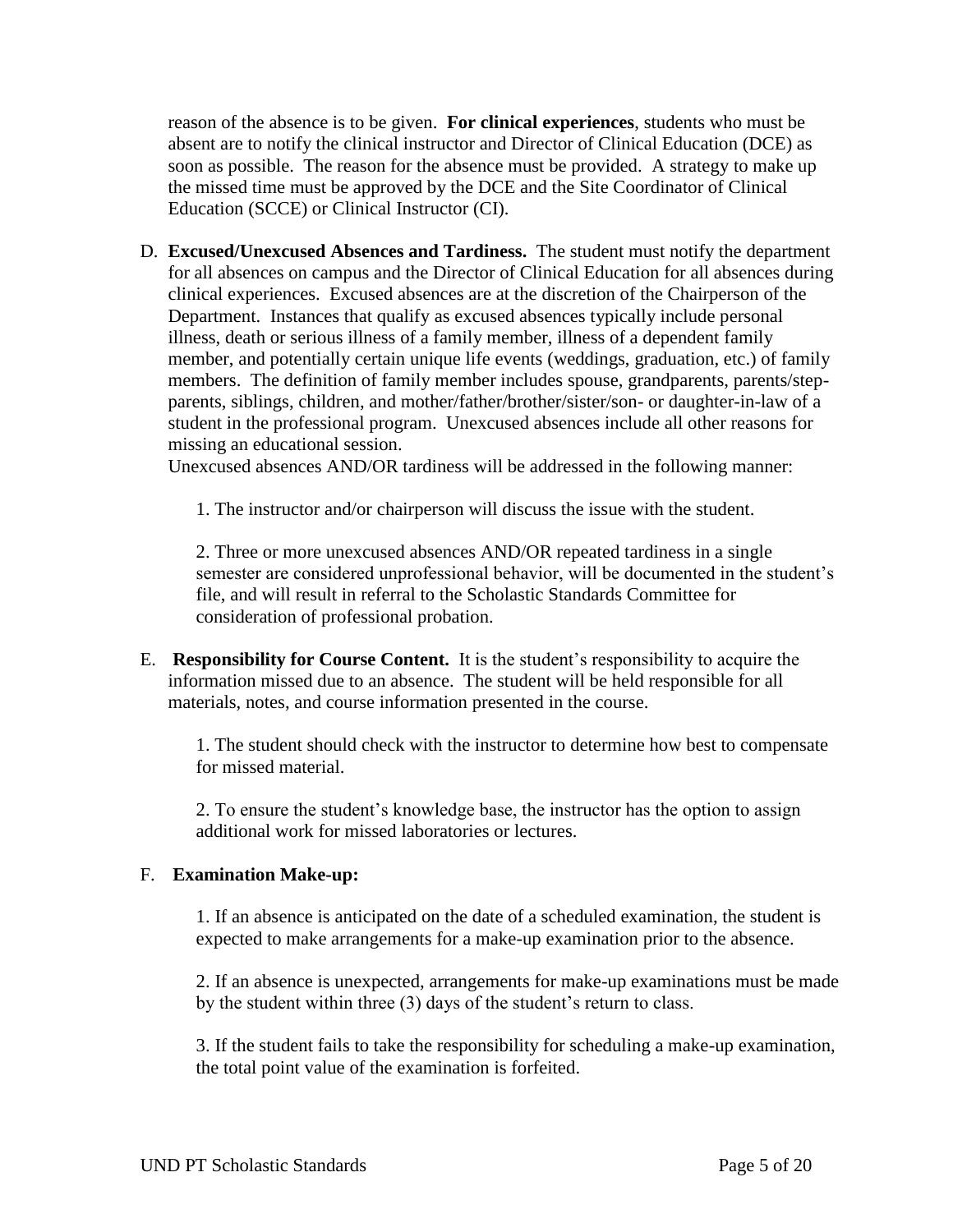reason of the absence is to be given. **For clinical experiences**, students who must be absent are to notify the clinical instructor and Director of Clinical Education (DCE) as soon as possible. The reason for the absence must be provided. A strategy to make up the missed time must be approved by the DCE and the Site Coordinator of Clinical Education (SCCE) or Clinical Instructor (CI).

D. **Excused/Unexcused Absences and Tardiness.** The student must notify the department for all absences on campus and the Director of Clinical Education for all absences during clinical experiences. Excused absences are at the discretion of the Chairperson of the Department. Instances that qualify as excused absences typically include personal illness, death or serious illness of a family member, illness of a dependent family member, and potentially certain unique life events (weddings, graduation, etc.) of family members. The definition of family member includes spouse, grandparents, parents/stepparents, siblings, children, and mother/father/brother/sister/son- or daughter-in-law of a student in the professional program. Unexcused absences include all other reasons for missing an educational session.

Unexcused absences AND/OR tardiness will be addressed in the following manner:

1. The instructor and/or chairperson will discuss the issue with the student.

2. Three or more unexcused absences AND/OR repeated tardiness in a single semester are considered unprofessional behavior, will be documented in the student's file, and will result in referral to the Scholastic Standards Committee for consideration of professional probation.

E. **Responsibility for Course Content.** It is the student's responsibility to acquire the information missed due to an absence. The student will be held responsible for all materials, notes, and course information presented in the course.

1. The student should check with the instructor to determine how best to compensate for missed material.

2. To ensure the student's knowledge base, the instructor has the option to assign additional work for missed laboratories or lectures.

#### F. **Examination Make-up:**

1. If an absence is anticipated on the date of a scheduled examination, the student is expected to make arrangements for a make-up examination prior to the absence.

2. If an absence is unexpected, arrangements for make-up examinations must be made by the student within three (3) days of the student's return to class.

3. If the student fails to take the responsibility for scheduling a make-up examination, the total point value of the examination is forfeited.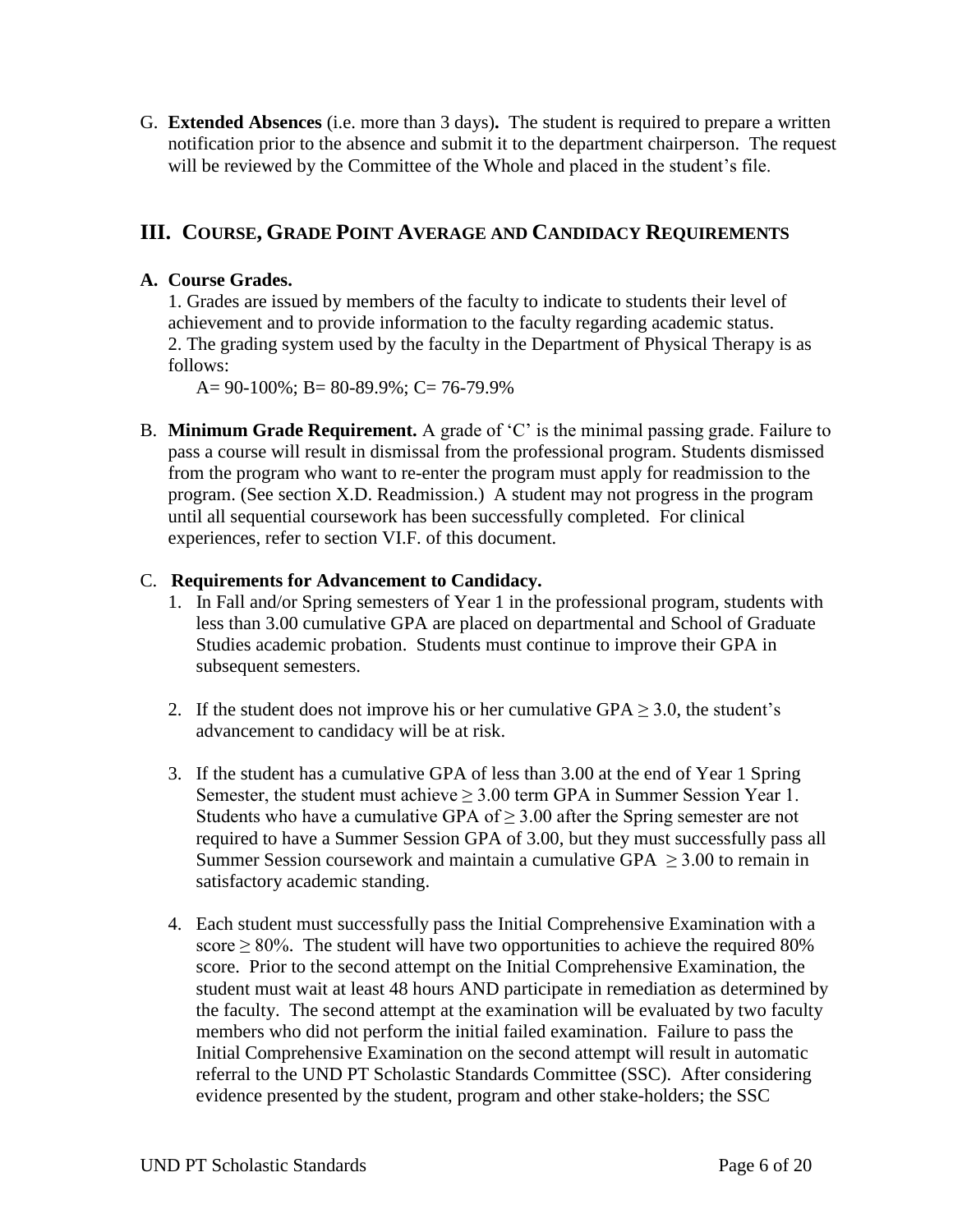G. **Extended Absences** (i.e. more than 3 days)**.** The student is required to prepare a written notification prior to the absence and submit it to the department chairperson. The request will be reviewed by the Committee of the Whole and placed in the student's file.

# **III. COURSE, GRADE POINT AVERAGE AND CANDIDACY REQUIREMENTS**

## **A. Course Grades.**

1. Grades are issued by members of the faculty to indicate to students their level of achievement and to provide information to the faculty regarding academic status. 2. The grading system used by the faculty in the Department of Physical Therapy is as follows:

A= 90-100%; B= 80-89.9%; C= 76-79.9%

B. **Minimum Grade Requirement.** A grade of 'C' is the minimal passing grade. Failure to pass a course will result in dismissal from the professional program. Students dismissed from the program who want to re-enter the program must apply for readmission to the program. (See section X.D. Readmission.) A student may not progress in the program until all sequential coursework has been successfully completed. For clinical experiences, refer to section VI.F. of this document.

## C. **Requirements for Advancement to Candidacy.**

- 1. In Fall and/or Spring semesters of Year 1 in the professional program, students with less than 3.00 cumulative GPA are placed on departmental and School of Graduate Studies academic probation. Students must continue to improve their GPA in subsequent semesters.
- 2. If the student does not improve his or her cumulative GPA  $\geq$  3.0, the student's advancement to candidacy will be at risk.
- 3. If the student has a cumulative GPA of less than 3.00 at the end of Year 1 Spring Semester, the student must achieve  $\geq 3.00$  term GPA in Summer Session Year 1. Students who have a cumulative GPA of  $\geq$  3.00 after the Spring semester are not required to have a Summer Session GPA of 3.00, but they must successfully pass all Summer Session coursework and maintain a cumulative GPA  $\geq$  3.00 to remain in satisfactory academic standing.
- 4. Each student must successfully pass the Initial Comprehensive Examination with a score  $\geq$  80%. The student will have two opportunities to achieve the required 80% score. Prior to the second attempt on the Initial Comprehensive Examination, the student must wait at least 48 hours AND participate in remediation as determined by the faculty. The second attempt at the examination will be evaluated by two faculty members who did not perform the initial failed examination. Failure to pass the Initial Comprehensive Examination on the second attempt will result in automatic referral to the UND PT Scholastic Standards Committee (SSC). After considering evidence presented by the student, program and other stake-holders; the SSC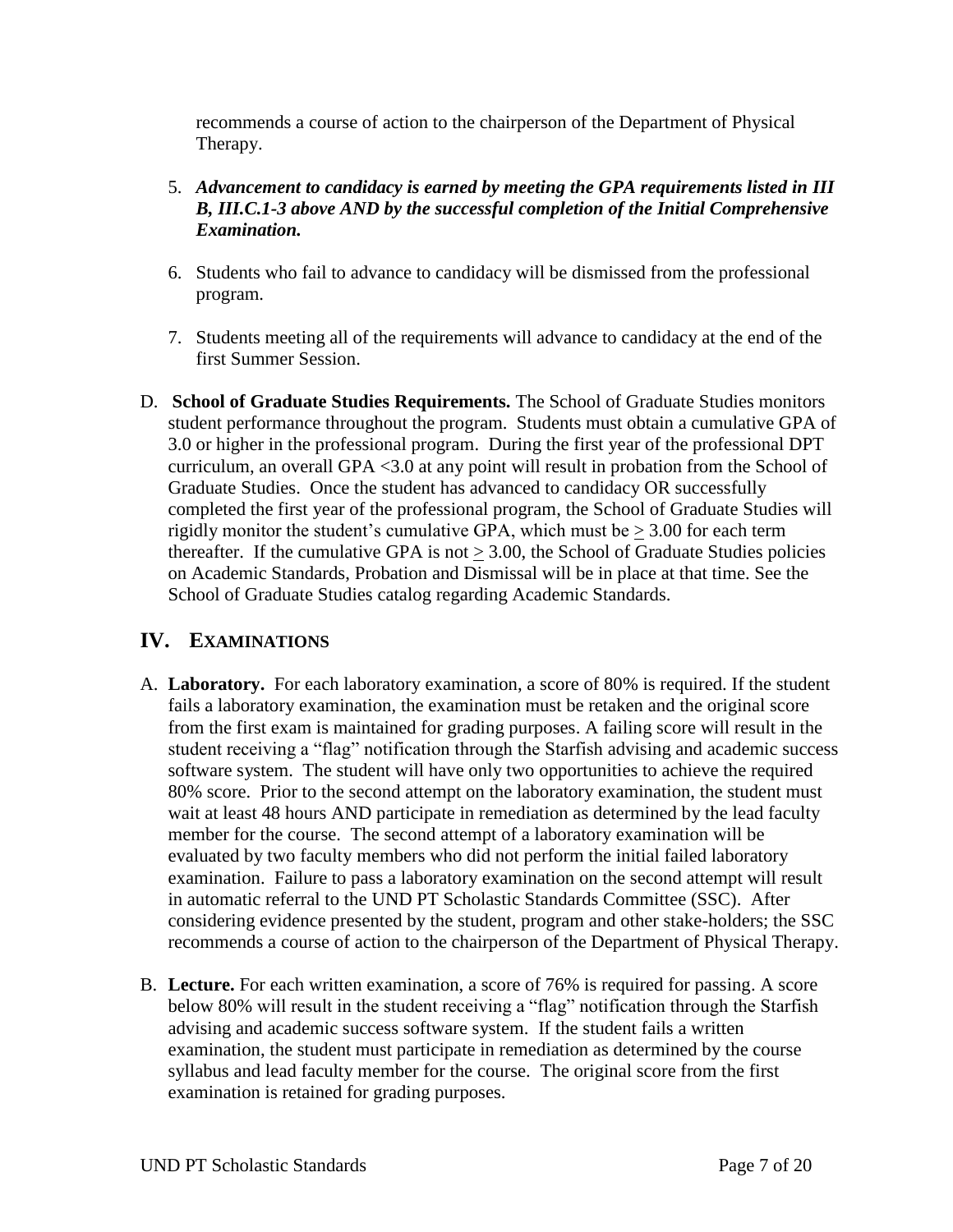recommends a course of action to the chairperson of the Department of Physical Therapy.

- 5. *Advancement to candidacy is earned by meeting the GPA requirements listed in III B, III.C.1-3 above AND by the successful completion of the Initial Comprehensive Examination.*
- 6. Students who fail to advance to candidacy will be dismissed from the professional program.
- 7. Students meeting all of the requirements will advance to candidacy at the end of the first Summer Session.
- D. **School of Graduate Studies Requirements.** The School of Graduate Studies monitors student performance throughout the program. Students must obtain a cumulative GPA of 3.0 or higher in the professional program. During the first year of the professional DPT curriculum, an overall GPA <3.0 at any point will result in probation from the School of Graduate Studies. Once the student has advanced to candidacy OR successfully completed the first year of the professional program, the School of Graduate Studies will rigidly monitor the student's cumulative GPA, which must be  $\geq 3.00$  for each term thereafter. If the cumulative GPA is not  $> 3.00$ , the School of Graduate Studies policies on Academic Standards, Probation and Dismissal will be in place at that time. See the School of Graduate Studies catalog regarding Academic Standards.

# **IV. EXAMINATIONS**

- A. **Laboratory.** For each laboratory examination, a score of 80% is required. If the student fails a laboratory examination, the examination must be retaken and the original score from the first exam is maintained for grading purposes. A failing score will result in the student receiving a "flag" notification through the Starfish advising and academic success software system. The student will have only two opportunities to achieve the required 80% score. Prior to the second attempt on the laboratory examination, the student must wait at least 48 hours AND participate in remediation as determined by the lead faculty member for the course. The second attempt of a laboratory examination will be evaluated by two faculty members who did not perform the initial failed laboratory examination. Failure to pass a laboratory examination on the second attempt will result in automatic referral to the UND PT Scholastic Standards Committee (SSC). After considering evidence presented by the student, program and other stake-holders; the SSC recommends a course of action to the chairperson of the Department of Physical Therapy.
- B. **Lecture.** For each written examination, a score of 76% is required for passing. A score below 80% will result in the student receiving a "flag" notification through the Starfish advising and academic success software system. If the student fails a written examination, the student must participate in remediation as determined by the course syllabus and lead faculty member for the course. The original score from the first examination is retained for grading purposes.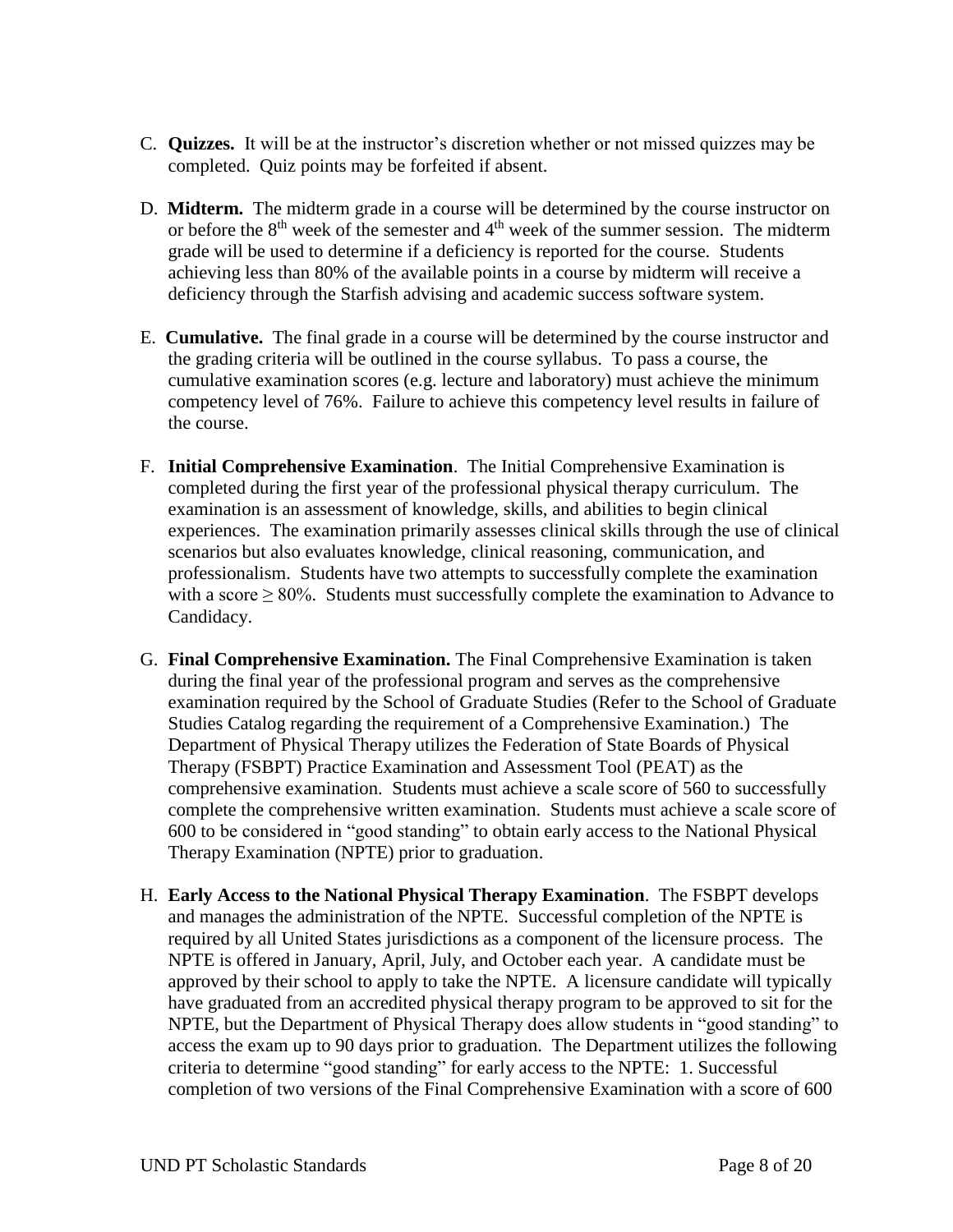- C. **Quizzes.** It will be at the instructor's discretion whether or not missed quizzes may be completed. Quiz points may be forfeited if absent.
- D. **Midterm.** The midterm grade in a course will be determined by the course instructor on or before the  $8<sup>th</sup>$  week of the semester and  $4<sup>th</sup>$  week of the summer session. The midterm grade will be used to determine if a deficiency is reported for the course. Students achieving less than 80% of the available points in a course by midterm will receive a deficiency through the Starfish advising and academic success software system.
- E. **Cumulative.** The final grade in a course will be determined by the course instructor and the grading criteria will be outlined in the course syllabus. To pass a course, the cumulative examination scores (e.g. lecture and laboratory) must achieve the minimum competency level of 76%. Failure to achieve this competency level results in failure of the course.
- F. **Initial Comprehensive Examination**. The Initial Comprehensive Examination is completed during the first year of the professional physical therapy curriculum. The examination is an assessment of knowledge, skills, and abilities to begin clinical experiences. The examination primarily assesses clinical skills through the use of clinical scenarios but also evaluates knowledge, clinical reasoning, communication, and professionalism. Students have two attempts to successfully complete the examination with a score  $> 80\%$ . Students must successfully complete the examination to Advance to Candidacy.
- G. **Final Comprehensive Examination.** The Final Comprehensive Examination is taken during the final year of the professional program and serves as the comprehensive examination required by the School of Graduate Studies (Refer to the School of Graduate Studies Catalog regarding the requirement of a Comprehensive Examination.) The Department of Physical Therapy utilizes the Federation of State Boards of Physical Therapy (FSBPT) Practice Examination and Assessment Tool (PEAT) as the comprehensive examination. Students must achieve a scale score of 560 to successfully complete the comprehensive written examination. Students must achieve a scale score of 600 to be considered in "good standing" to obtain early access to the National Physical Therapy Examination (NPTE) prior to graduation.
- H. **Early Access to the National Physical Therapy Examination**. The FSBPT develops and manages the administration of the NPTE. Successful completion of the NPTE is required by all United States jurisdictions as a component of the licensure process. The NPTE is offered in January, April, July, and October each year. A candidate must be approved by their school to apply to take the NPTE. A licensure candidate will typically have graduated from an accredited physical therapy program to be approved to sit for the NPTE, but the Department of Physical Therapy does allow students in "good standing" to access the exam up to 90 days prior to graduation. The Department utilizes the following criteria to determine "good standing" for early access to the NPTE: 1. Successful completion of two versions of the Final Comprehensive Examination with a score of 600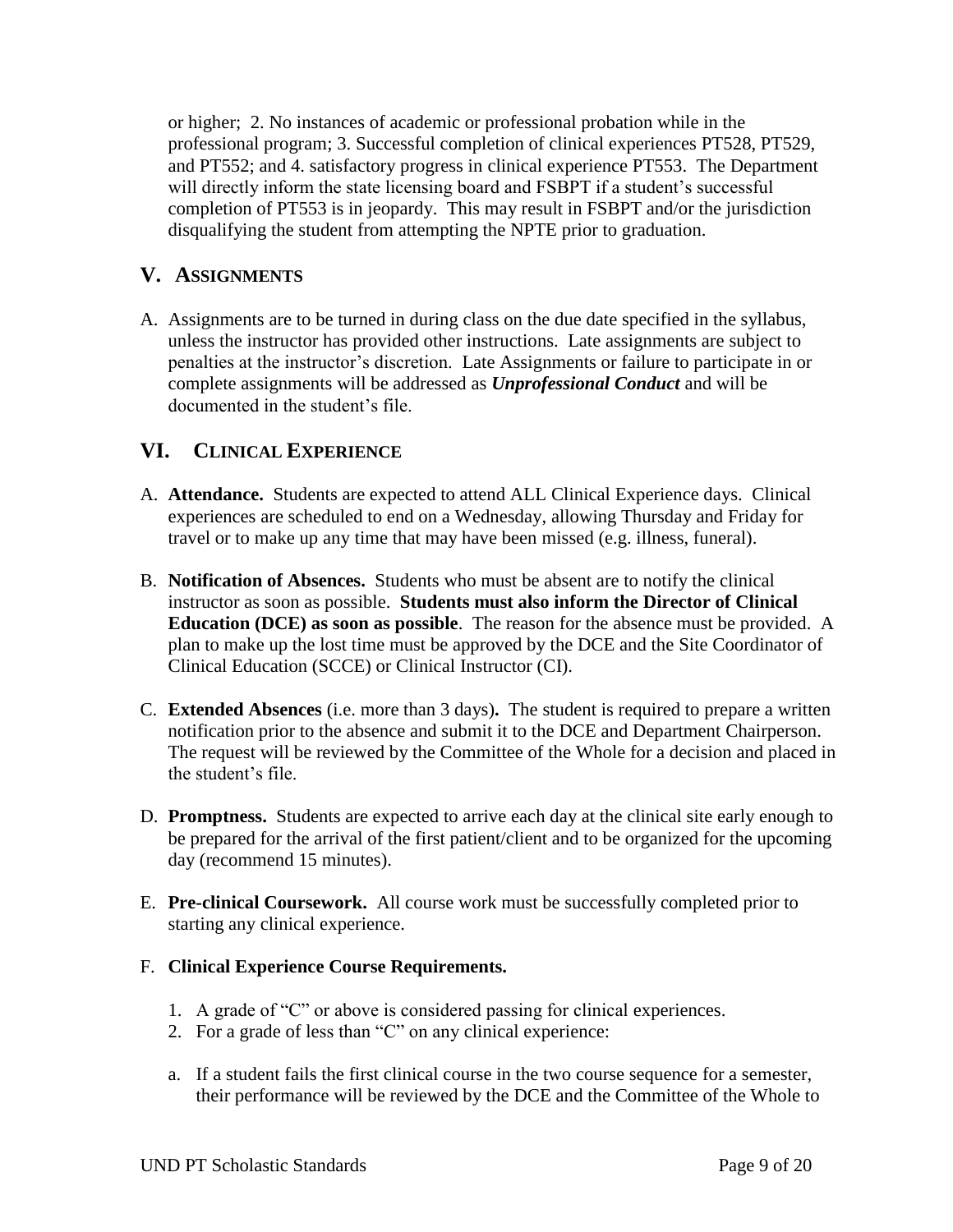or higher; 2. No instances of academic or professional probation while in the professional program; 3. Successful completion of clinical experiences PT528, PT529, and PT552; and 4. satisfactory progress in clinical experience PT553. The Department will directly inform the state licensing board and FSBPT if a student's successful completion of PT553 is in jeopardy. This may result in FSBPT and/or the jurisdiction disqualifying the student from attempting the NPTE prior to graduation.

## **V. ASSIGNMENTS**

A. Assignments are to be turned in during class on the due date specified in the syllabus, unless the instructor has provided other instructions. Late assignments are subject to penalties at the instructor's discretion. Late Assignments or failure to participate in or complete assignments will be addressed as *Unprofessional Conduct* and will be documented in the student's file.

## **VI. CLINICAL EXPERIENCE**

- A. **Attendance.** Students are expected to attend ALL Clinical Experience days. Clinical experiences are scheduled to end on a Wednesday, allowing Thursday and Friday for travel or to make up any time that may have been missed (e.g. illness, funeral).
- B. **Notification of Absences.** Students who must be absent are to notify the clinical instructor as soon as possible. **Students must also inform the Director of Clinical Education (DCE) as soon as possible**. The reason for the absence must be provided. A plan to make up the lost time must be approved by the DCE and the Site Coordinator of Clinical Education (SCCE) or Clinical Instructor (CI).
- C. **Extended Absences** (i.e. more than 3 days)**.** The student is required to prepare a written notification prior to the absence and submit it to the DCE and Department Chairperson. The request will be reviewed by the Committee of the Whole for a decision and placed in the student's file.
- D. **Promptness.** Students are expected to arrive each day at the clinical site early enough to be prepared for the arrival of the first patient/client and to be organized for the upcoming day (recommend 15 minutes).
- E. **Pre-clinical Coursework.** All course work must be successfully completed prior to starting any clinical experience.
- F. **Clinical Experience Course Requirements.**
	- 1. A grade of "C" or above is considered passing for clinical experiences.
	- 2. For a grade of less than "C" on any clinical experience:
	- a. If a student fails the first clinical course in the two course sequence for a semester, their performance will be reviewed by the DCE and the Committee of the Whole to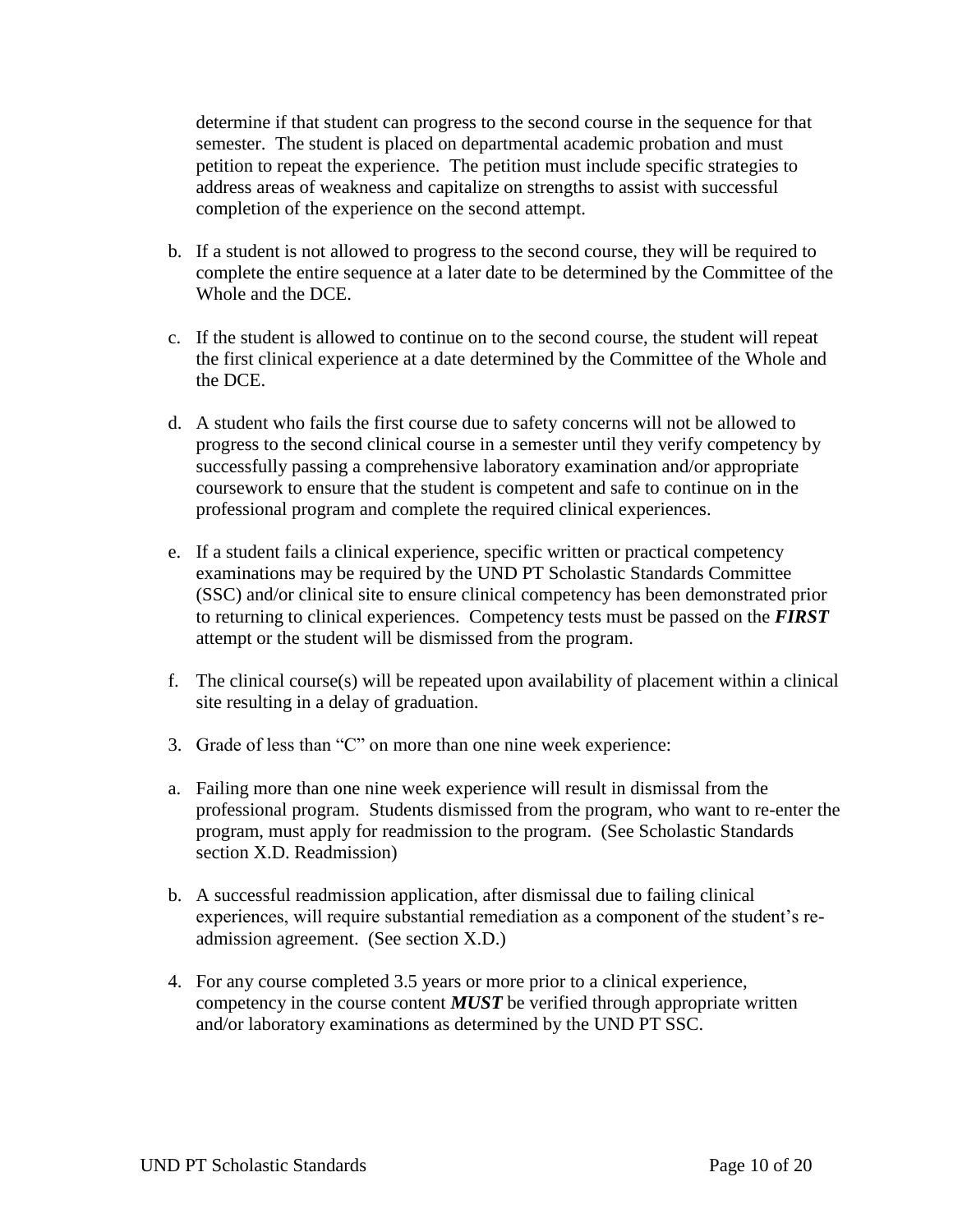determine if that student can progress to the second course in the sequence for that semester. The student is placed on departmental academic probation and must petition to repeat the experience. The petition must include specific strategies to address areas of weakness and capitalize on strengths to assist with successful completion of the experience on the second attempt.

- b. If a student is not allowed to progress to the second course, they will be required to complete the entire sequence at a later date to be determined by the Committee of the Whole and the DCE.
- c. If the student is allowed to continue on to the second course, the student will repeat the first clinical experience at a date determined by the Committee of the Whole and the DCE.
- d. A student who fails the first course due to safety concerns will not be allowed to progress to the second clinical course in a semester until they verify competency by successfully passing a comprehensive laboratory examination and/or appropriate coursework to ensure that the student is competent and safe to continue on in the professional program and complete the required clinical experiences.
- e. If a student fails a clinical experience, specific written or practical competency examinations may be required by the UND PT Scholastic Standards Committee (SSC) and/or clinical site to ensure clinical competency has been demonstrated prior to returning to clinical experiences. Competency tests must be passed on the *FIRST* attempt or the student will be dismissed from the program.
- f. The clinical course(s) will be repeated upon availability of placement within a clinical site resulting in a delay of graduation.
- 3. Grade of less than "C" on more than one nine week experience:
- a. Failing more than one nine week experience will result in dismissal from the professional program. Students dismissed from the program, who want to re-enter the program, must apply for readmission to the program. (See Scholastic Standards section X.D. Readmission)
- b. A successful readmission application, after dismissal due to failing clinical experiences, will require substantial remediation as a component of the student's readmission agreement. (See section X.D.)
- 4. For any course completed 3.5 years or more prior to a clinical experience, competency in the course content *MUST* be verified through appropriate written and/or laboratory examinations as determined by the UND PT SSC.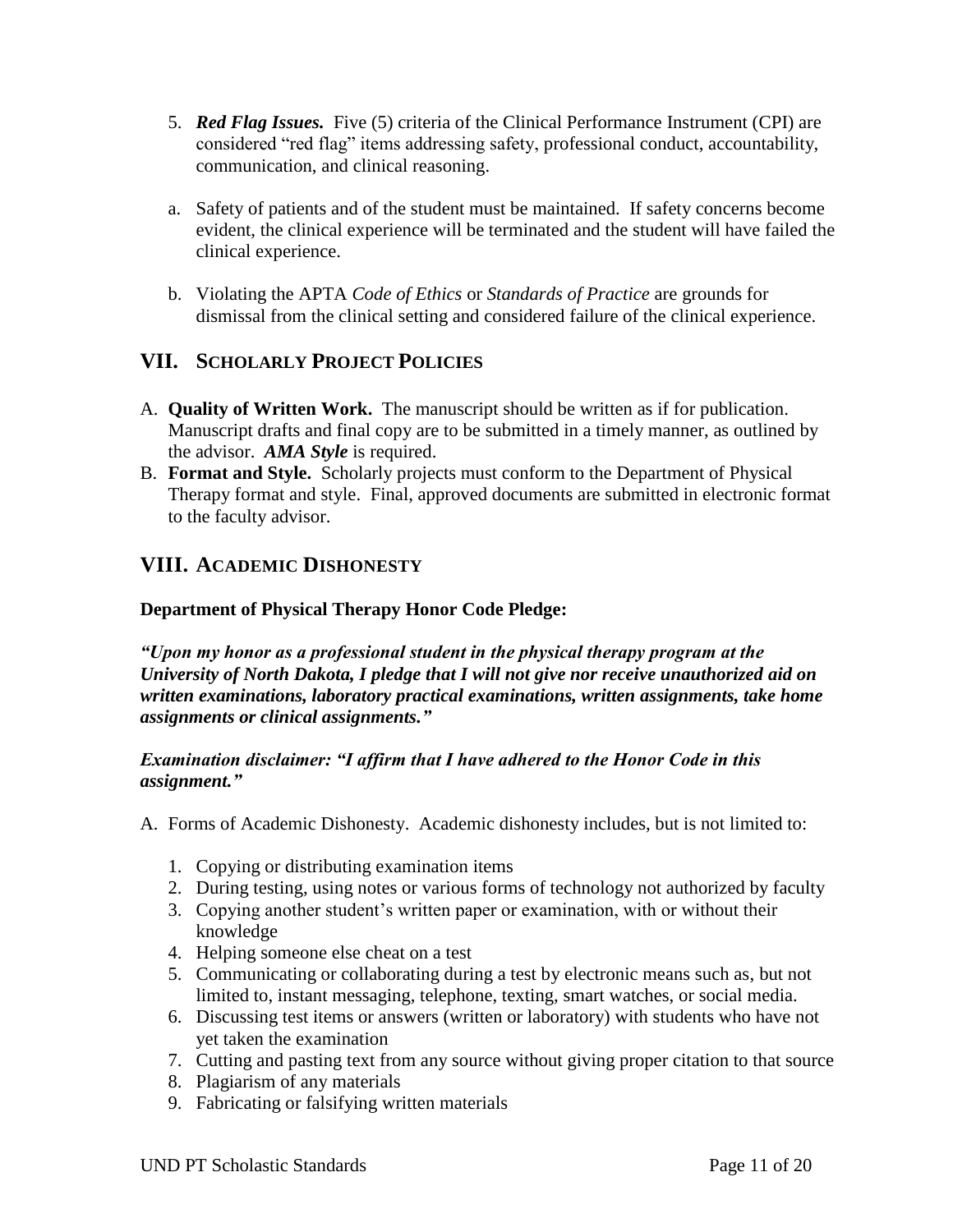- 5. *Red Flag Issues.* Five (5) criteria of the Clinical Performance Instrument (CPI) are considered "red flag" items addressing safety, professional conduct, accountability, communication, and clinical reasoning.
- a. Safety of patients and of the student must be maintained. If safety concerns become evident, the clinical experience will be terminated and the student will have failed the clinical experience.
- b. Violating the APTA *Code of Ethics* or *Standards of Practice* are grounds for dismissal from the clinical setting and considered failure of the clinical experience.

# **VII. SCHOLARLY PROJECT POLICIES**

- A. **Quality of Written Work.** The manuscript should be written as if for publication. Manuscript drafts and final copy are to be submitted in a timely manner, as outlined by the advisor. *AMA Style* is required.
- B. **Format and Style.** Scholarly projects must conform to the Department of Physical Therapy format and style.Final, approved documents are submitted in electronic format to the faculty advisor.

# **VIII. ACADEMIC DISHONESTY**

## **Department of Physical Therapy Honor Code Pledge:**

*"Upon my honor as a professional student in the physical therapy program at the University of North Dakota, I pledge that I will not give nor receive unauthorized aid on written examinations, laboratory practical examinations, written assignments, take home assignments or clinical assignments."*

#### *Examination disclaimer: "I affirm that I have adhered to the Honor Code in this assignment."*

- A. Forms of Academic Dishonesty. Academic dishonesty includes, but is not limited to:
	- 1. Copying or distributing examination items
	- 2. During testing, using notes or various forms of technology not authorized by faculty
	- 3. Copying another student's written paper or examination, with or without their knowledge
	- 4. Helping someone else cheat on a test
	- 5. Communicating or collaborating during a test by electronic means such as, but not limited to, instant messaging, telephone, texting, smart watches, or social media.
	- 6. Discussing test items or answers (written or laboratory) with students who have not yet taken the examination
	- 7. Cutting and pasting text from any source without giving proper citation to that source
	- 8. Plagiarism of any materials
	- 9. Fabricating or falsifying written materials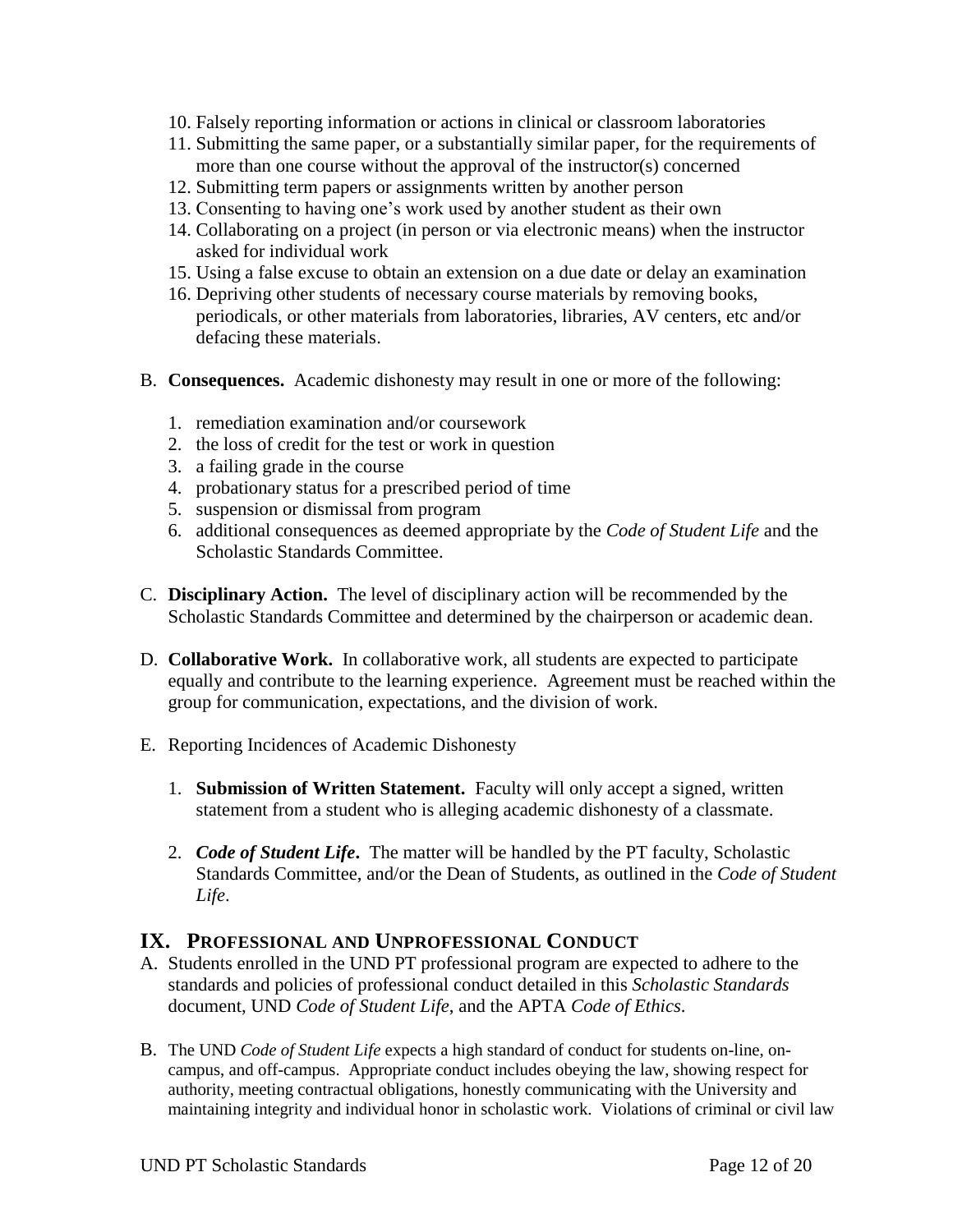- 10. Falsely reporting information or actions in clinical or classroom laboratories
- 11. Submitting the same paper, or a substantially similar paper, for the requirements of more than one course without the approval of the instructor(s) concerned
- 12. Submitting term papers or assignments written by another person
- 13. Consenting to having one's work used by another student as their own
- 14. Collaborating on a project (in person or via electronic means) when the instructor asked for individual work
- 15. Using a false excuse to obtain an extension on a due date or delay an examination
- 16. Depriving other students of necessary course materials by removing books, periodicals, or other materials from laboratories, libraries, AV centers, etc and/or defacing these materials.
- B. **Consequences.** Academic dishonesty may result in one or more of the following:
	- 1. remediation examination and/or coursework
	- 2. the loss of credit for the test or work in question
	- 3. a failing grade in the course
	- 4. probationary status for a prescribed period of time
	- 5. suspension or dismissal from program
	- 6. additional consequences as deemed appropriate by the *Code of Student Life* and the Scholastic Standards Committee.
- C. **Disciplinary Action.** The level of disciplinary action will be recommended by the Scholastic Standards Committee and determined by the chairperson or academic dean.
- D. **Collaborative Work.** In collaborative work, all students are expected to participate equally and contribute to the learning experience. Agreement must be reached within the group for communication, expectations, and the division of work.
- E. Reporting Incidences of Academic Dishonesty
	- 1. **Submission of Written Statement.** Faculty will only accept a signed, written statement from a student who is alleging academic dishonesty of a classmate.
	- 2. *Code of Student Life***.** The matter will be handled by the PT faculty, Scholastic Standards Committee, and/or the Dean of Students, as outlined in the *Code of Student Life*.

## **IX. PROFESSIONAL AND UNPROFESSIONAL CONDUCT**

- A. Students enrolled in the UND PT professional program are expected to adhere to the standards and policies of professional conduct detailed in this *Scholastic Standards* document, UND *Code of Student Life*, and the APTA *Code of Ethics*.
- B. The UND *Code of Student Life* expects a high standard of conduct for students on-line, oncampus, and off-campus. Appropriate conduct includes obeying the law, showing respect for authority, meeting contractual obligations, honestly communicating with the University and maintaining integrity and individual honor in scholastic work. Violations of criminal or civil law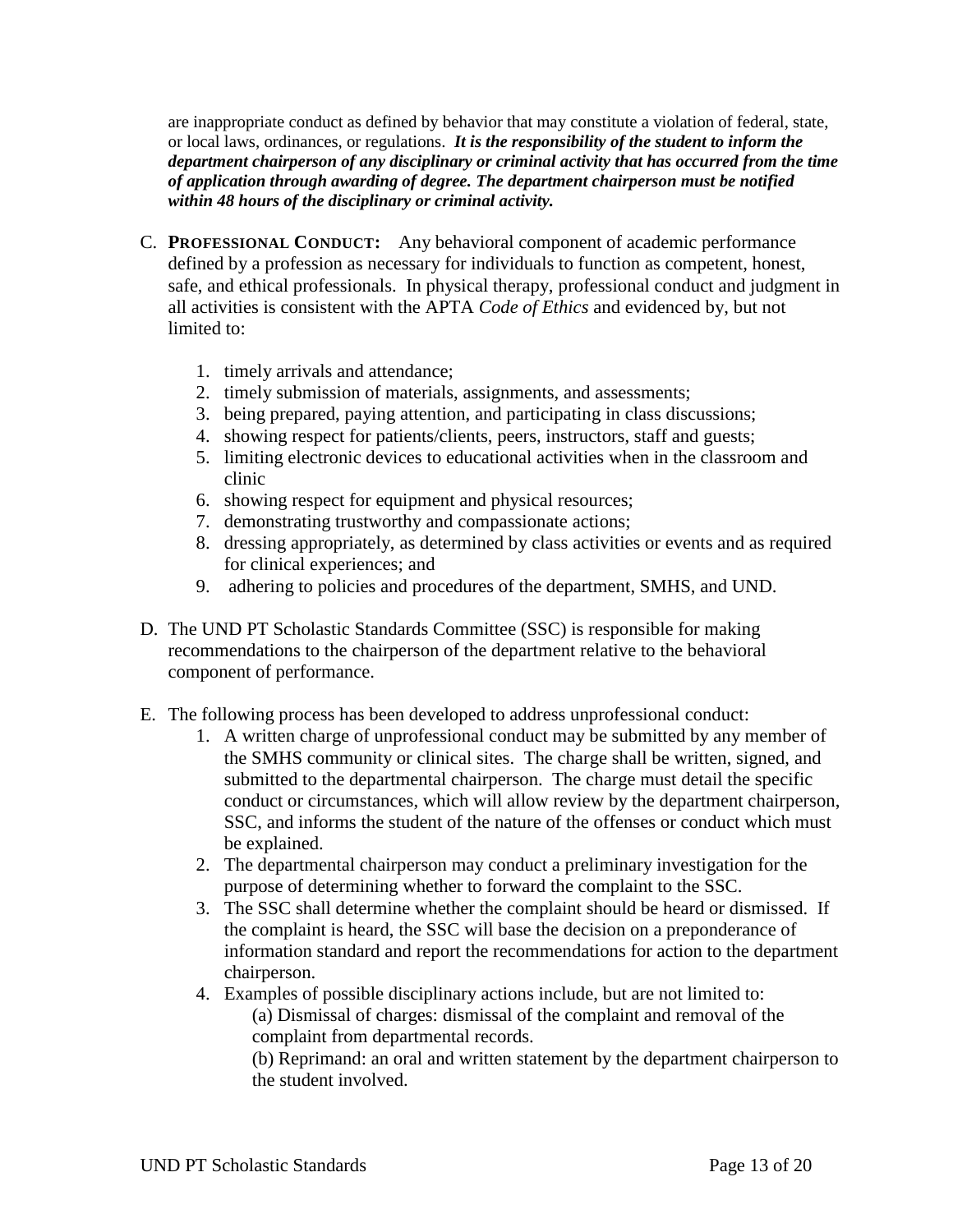are inappropriate conduct as defined by behavior that may constitute a violation of federal, state, or local laws, ordinances, or regulations. *It is the responsibility of the student to inform the department chairperson of any disciplinary or criminal activity that has occurred from the time of application through awarding of degree. The department chairperson must be notified within 48 hours of the disciplinary or criminal activity.*

- C. **PROFESSIONAL CONDUCT:** Any behavioral component of academic performance defined by a profession as necessary for individuals to function as competent, honest, safe, and ethical professionals. In physical therapy, professional conduct and judgment in all activities is consistent with the APTA *Code of Ethics* and evidenced by, but not limited to:
	- 1. timely arrivals and attendance;
	- 2. timely submission of materials, assignments, and assessments;
	- 3. being prepared, paying attention, and participating in class discussions;
	- 4. showing respect for patients/clients, peers, instructors, staff and guests;
	- 5. limiting electronic devices to educational activities when in the classroom and clinic
	- 6. showing respect for equipment and physical resources;
	- 7. demonstrating trustworthy and compassionate actions;
	- 8. dressing appropriately, as determined by class activities or events and as required for clinical experiences; and
	- 9. adhering to policies and procedures of the department, SMHS, and UND.
- D. The UND PT Scholastic Standards Committee (SSC) is responsible for making recommendations to the chairperson of the department relative to the behavioral component of performance.
- E. The following process has been developed to address unprofessional conduct:
	- 1. A written charge of unprofessional conduct may be submitted by any member of the SMHS community or clinical sites. The charge shall be written, signed, and submitted to the departmental chairperson. The charge must detail the specific conduct or circumstances, which will allow review by the department chairperson, SSC, and informs the student of the nature of the offenses or conduct which must be explained.
	- 2. The departmental chairperson may conduct a preliminary investigation for the purpose of determining whether to forward the complaint to the SSC.
	- 3. The SSC shall determine whether the complaint should be heard or dismissed. If the complaint is heard, the SSC will base the decision on a preponderance of information standard and report the recommendations for action to the department chairperson.
	- 4. Examples of possible disciplinary actions include, but are not limited to: (a) Dismissal of charges: dismissal of the complaint and removal of the complaint from departmental records.

(b) Reprimand: an oral and written statement by the department chairperson to the student involved.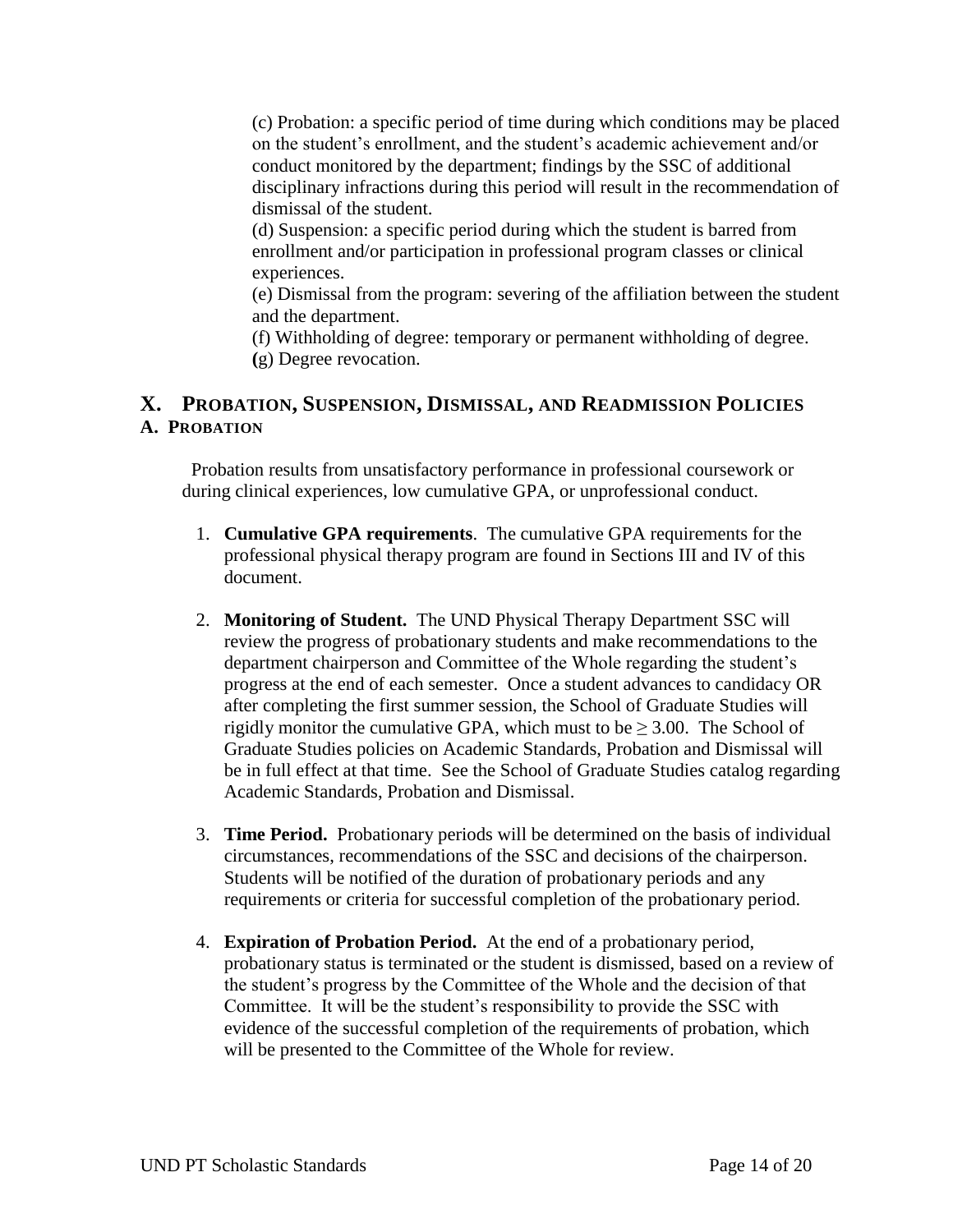(c) Probation: a specific period of time during which conditions may be placed on the student's enrollment, and the student's academic achievement and/or conduct monitored by the department; findings by the SSC of additional disciplinary infractions during this period will result in the recommendation of dismissal of the student.

(d) Suspension: a specific period during which the student is barred from enrollment and/or participation in professional program classes or clinical experiences.

(e) Dismissal from the program: severing of the affiliation between the student and the department.

(f) Withholding of degree: temporary or permanent withholding of degree. **(**g) Degree revocation.

## **X. PROBATION, SUSPENSION, DISMISSAL, AND READMISSION POLICIES A. PROBATION**

Probation results from unsatisfactory performance in professional coursework or during clinical experiences, low cumulative GPA, or unprofessional conduct.

- 1. **Cumulative GPA requirements**. The cumulative GPA requirements for the professional physical therapy program are found in Sections III and IV of this document.
- 2. **Monitoring of Student.** The UND Physical Therapy Department SSC will review the progress of probationary students and make recommendations to the department chairperson and Committee of the Whole regarding the student's progress at the end of each semester. Once a student advances to candidacy OR after completing the first summer session, the School of Graduate Studies will rigidly monitor the cumulative GPA, which must to be  $\geq 3.00$ . The School of Graduate Studies policies on Academic Standards, Probation and Dismissal will be in full effect at that time. See the School of Graduate Studies catalog regarding Academic Standards, Probation and Dismissal.
- 3. **Time Period.** Probationary periods will be determined on the basis of individual circumstances, recommendations of the SSC and decisions of the chairperson. Students will be notified of the duration of probationary periods and any requirements or criteria for successful completion of the probationary period.
- 4. **Expiration of Probation Period.** At the end of a probationary period, probationary status is terminated or the student is dismissed, based on a review of the student's progress by the Committee of the Whole and the decision of that Committee. It will be the student's responsibility to provide the SSC with evidence of the successful completion of the requirements of probation, which will be presented to the Committee of the Whole for review.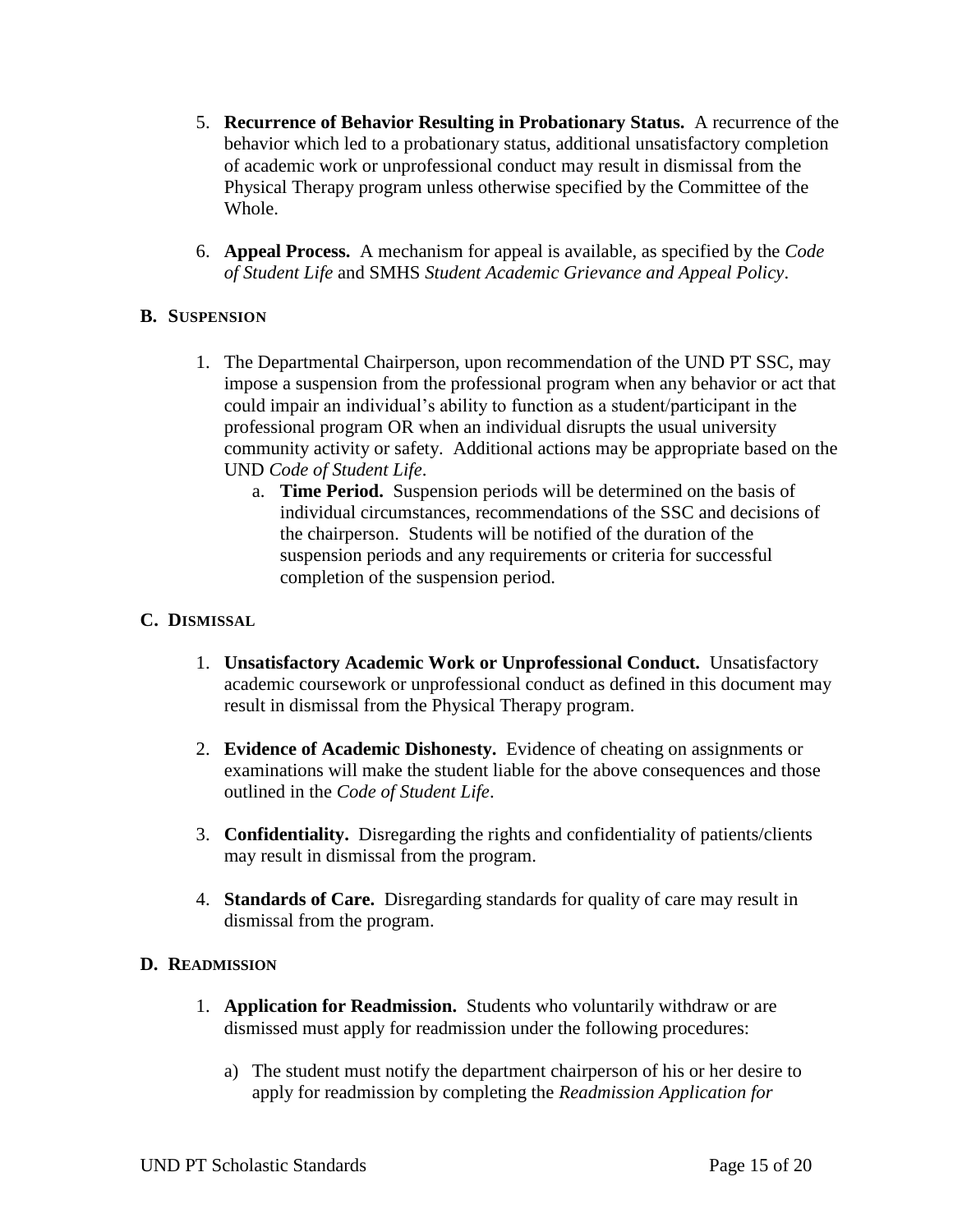- 5. **Recurrence of Behavior Resulting in Probationary Status.** A recurrence of the behavior which led to a probationary status, additional unsatisfactory completion of academic work or unprofessional conduct may result in dismissal from the Physical Therapy program unless otherwise specified by the Committee of the Whole.
- 6. **Appeal Process.** A mechanism for appeal is available, as specified by the *Code of Student Life* and SMHS *Student Academic Grievance and Appeal Policy*.

## **B. SUSPENSION**

- 1. The Departmental Chairperson, upon recommendation of the UND PT SSC, may impose a suspension from the professional program when any behavior or act that could impair an individual's ability to function as a student/participant in the professional program OR when an individual disrupts the usual university community activity or safety. Additional actions may be appropriate based on the UND *Code of Student Life*.
	- a. **Time Period.** Suspension periods will be determined on the basis of individual circumstances, recommendations of the SSC and decisions of the chairperson. Students will be notified of the duration of the suspension periods and any requirements or criteria for successful completion of the suspension period.

#### **C. DISMISSAL**

- 1. **Unsatisfactory Academic Work or Unprofessional Conduct.** Unsatisfactory academic coursework or unprofessional conduct as defined in this document may result in dismissal from the Physical Therapy program.
- 2. **Evidence of Academic Dishonesty.** Evidence of cheating on assignments or examinations will make the student liable for the above consequences and those outlined in the *Code of Student Life*.
- 3. **Confidentiality.** Disregarding the rights and confidentiality of patients/clients may result in dismissal from the program.
- 4. **Standards of Care.** Disregarding standards for quality of care may result in dismissal from the program.

#### **D. READMISSION**

- 1. **Application for Readmission.** Students who voluntarily withdraw or are dismissed must apply for readmission under the following procedures:
	- a) The student must notify the department chairperson of his or her desire to apply for readmission by completing the *Readmission Application for*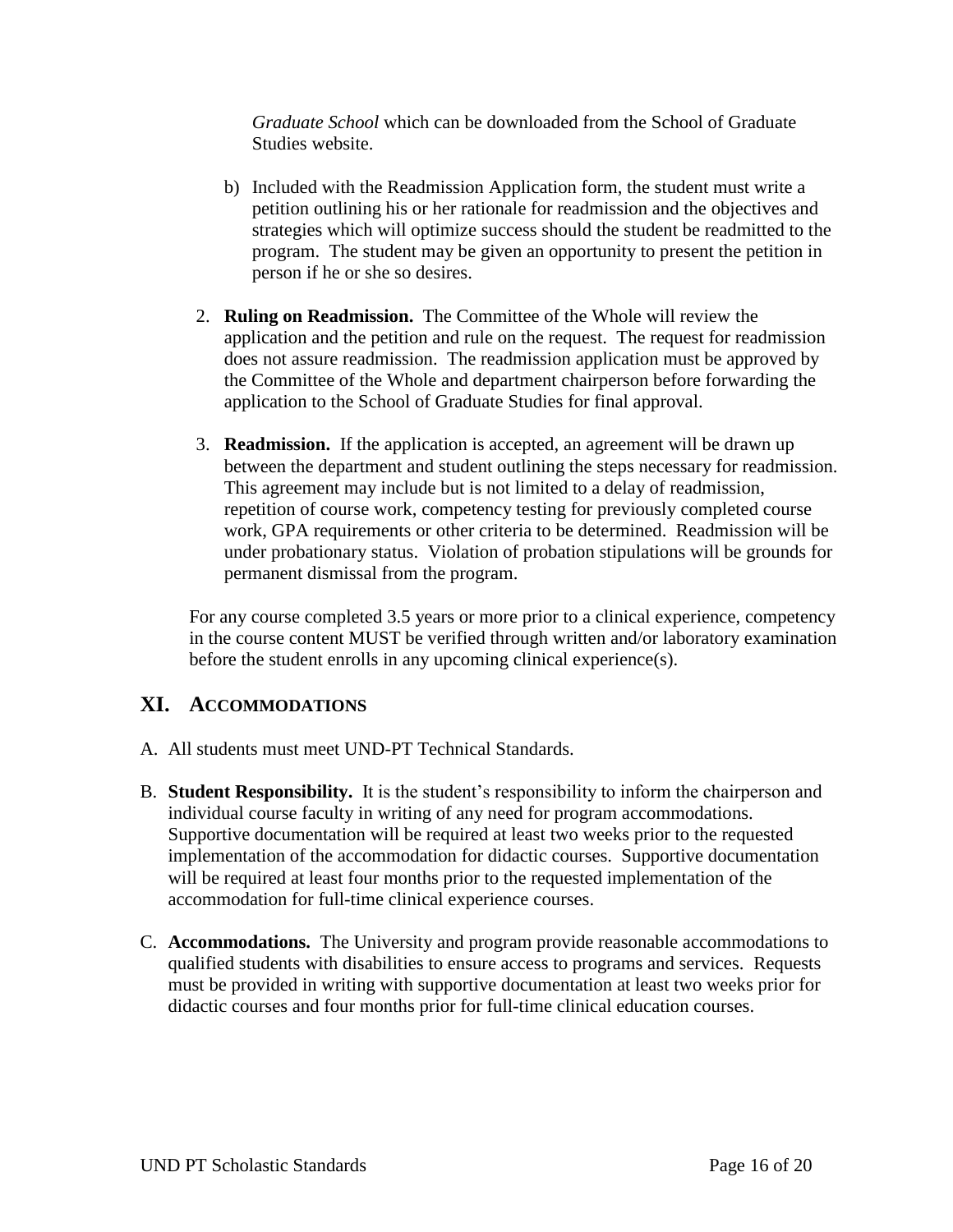*Graduate School* which can be downloaded from the School of Graduate Studies website.

- b) Included with the Readmission Application form, the student must write a petition outlining his or her rationale for readmission and the objectives and strategies which will optimize success should the student be readmitted to the program. The student may be given an opportunity to present the petition in person if he or she so desires.
- 2. **Ruling on Readmission.** The Committee of the Whole will review the application and the petition and rule on the request. The request for readmission does not assure readmission. The readmission application must be approved by the Committee of the Whole and department chairperson before forwarding the application to the School of Graduate Studies for final approval.
- 3. **Readmission.** If the application is accepted, an agreement will be drawn up between the department and student outlining the steps necessary for readmission. This agreement may include but is not limited to a delay of readmission, repetition of course work, competency testing for previously completed course work, GPA requirements or other criteria to be determined. Readmission will be under probationary status. Violation of probation stipulations will be grounds for permanent dismissal from the program.

For any course completed 3.5 years or more prior to a clinical experience, competency in the course content MUST be verified through written and/or laboratory examination before the student enrolls in any upcoming clinical experience(s).

# **XI. ACCOMMODATIONS**

- A. All students must meet UND-PT Technical Standards.
- B. **Student Responsibility.** It is the student's responsibility to inform the chairperson and individual course faculty in writing of any need for program accommodations. Supportive documentation will be required at least two weeks prior to the requested implementation of the accommodation for didactic courses. Supportive documentation will be required at least four months prior to the requested implementation of the accommodation for full-time clinical experience courses.
- C. **Accommodations.** The University and program provide reasonable accommodations to qualified students with disabilities to ensure access to programs and services. Requests must be provided in writing with supportive documentation at least two weeks prior for didactic courses and four months prior for full-time clinical education courses.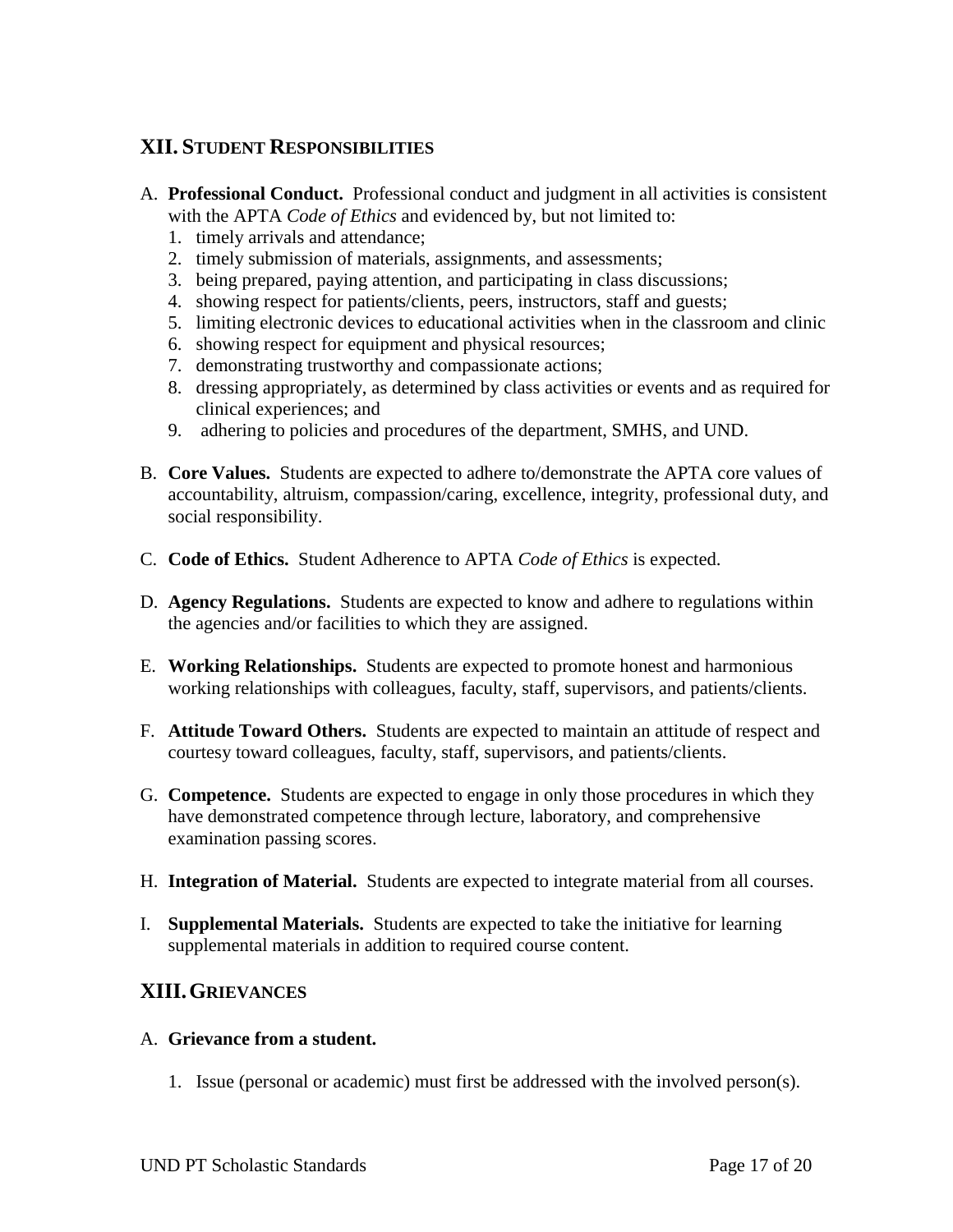# **XII. STUDENT RESPONSIBILITIES**

- A. **Professional Conduct.** Professional conduct and judgment in all activities is consistent with the APTA *Code of Ethics* and evidenced by, but not limited to:
	- 1. timely arrivals and attendance;
	- 2. timely submission of materials, assignments, and assessments;
	- 3. being prepared, paying attention, and participating in class discussions;
	- 4. showing respect for patients/clients, peers, instructors, staff and guests;
	- 5. limiting electronic devices to educational activities when in the classroom and clinic
	- 6. showing respect for equipment and physical resources;
	- 7. demonstrating trustworthy and compassionate actions;
	- 8. dressing appropriately, as determined by class activities or events and as required for clinical experiences; and
	- 9. adhering to policies and procedures of the department, SMHS, and UND.
- B. **Core Values.** Students are expected to adhere to/demonstrate the APTA core values of accountability, altruism, compassion/caring, excellence, integrity, professional duty, and social responsibility.
- C. **Code of Ethics.** Student Adherence to APTA *Code of Ethics* is expected.
- D. **Agency Regulations.** Students are expected to know and adhere to regulations within the agencies and/or facilities to which they are assigned.
- E. **Working Relationships.** Students are expected to promote honest and harmonious working relationships with colleagues, faculty, staff, supervisors, and patients/clients.
- F. **Attitude Toward Others.** Students are expected to maintain an attitude of respect and courtesy toward colleagues, faculty, staff, supervisors, and patients/clients.
- G. **Competence.** Students are expected to engage in only those procedures in which they have demonstrated competence through lecture, laboratory, and comprehensive examination passing scores.
- H. **Integration of Material.** Students are expected to integrate material from all courses.
- I. **Supplemental Materials.** Students are expected to take the initiative for learning supplemental materials in addition to required course content.

# **XIII.GRIEVANCES**

#### A. **Grievance from a student.**

1. Issue (personal or academic) must first be addressed with the involved person(s).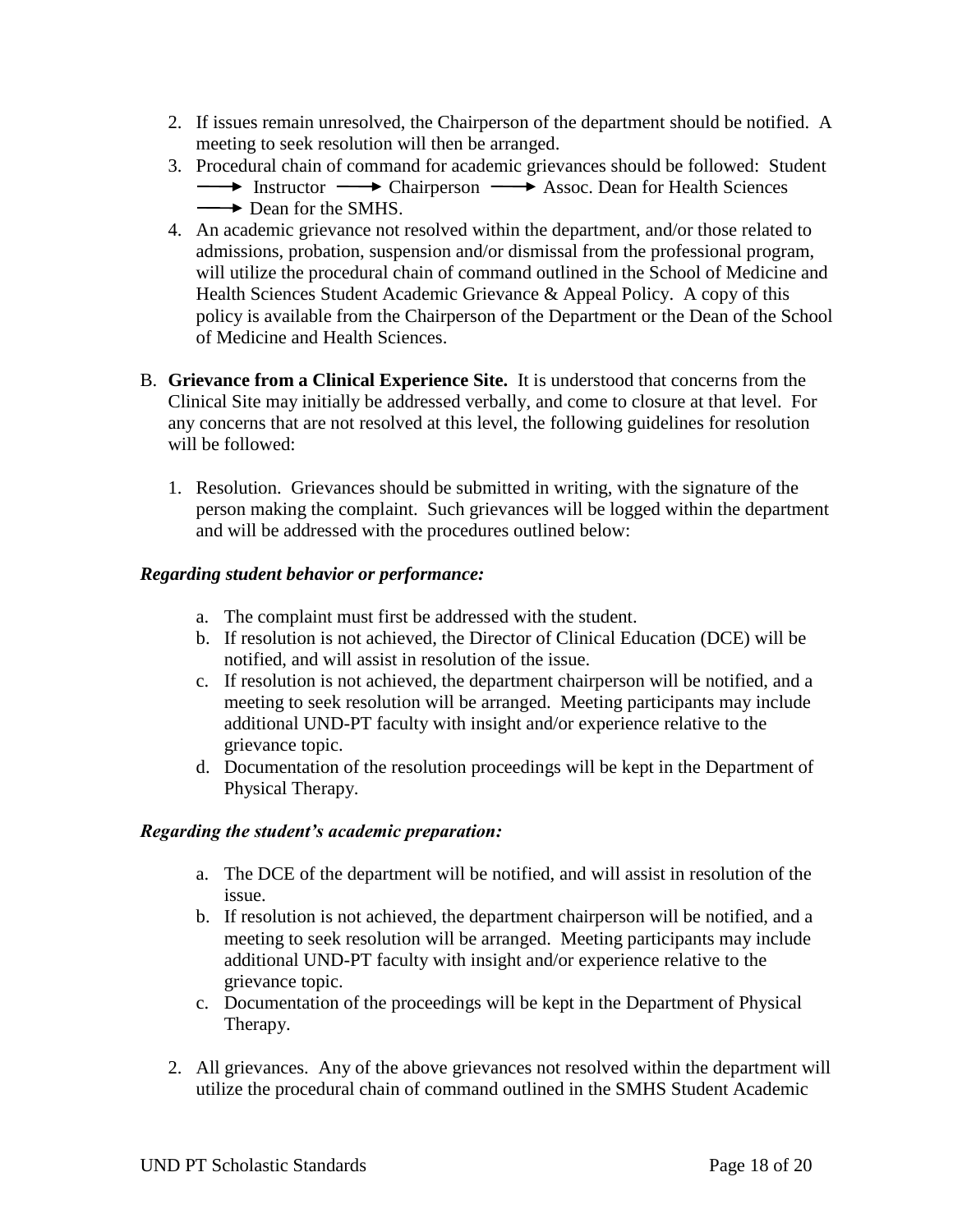- 2. If issues remain unresolved, the Chairperson of the department should be notified. A meeting to seek resolution will then be arranged.
- 3. Procedural chain of command for academic grievances should be followed: Student  $\longrightarrow$  Instructor  $\longrightarrow$  Chairperson  $\longrightarrow$  Assoc. Dean for Health Sciences Dean for the SMHS.
- 4. An academic grievance not resolved within the department, and/or those related to admissions, probation, suspension and/or dismissal from the professional program, will utilize the procedural chain of command outlined in the School of Medicine and Health Sciences Student Academic Grievance & Appeal Policy. A copy of this policy is available from the Chairperson of the Department or the Dean of the School of Medicine and Health Sciences.
- B. **Grievance from a Clinical Experience Site.** It is understood that concerns from the Clinical Site may initially be addressed verbally, and come to closure at that level. For any concerns that are not resolved at this level, the following guidelines for resolution will be followed:
	- 1. Resolution. Grievances should be submitted in writing, with the signature of the person making the complaint. Such grievances will be logged within the department and will be addressed with the procedures outlined below:

## *Regarding student behavior or performance:*

- a. The complaint must first be addressed with the student.
- b. If resolution is not achieved, the Director of Clinical Education (DCE) will be notified, and will assist in resolution of the issue.
- c. If resolution is not achieved, the department chairperson will be notified, and a meeting to seek resolution will be arranged. Meeting participants may include additional UND-PT faculty with insight and/or experience relative to the grievance topic.
- d. Documentation of the resolution proceedings will be kept in the Department of Physical Therapy.

## *Regarding the student's academic preparation:*

- a. The DCE of the department will be notified, and will assist in resolution of the issue.
- b. If resolution is not achieved, the department chairperson will be notified, and a meeting to seek resolution will be arranged. Meeting participants may include additional UND-PT faculty with insight and/or experience relative to the grievance topic.
- c. Documentation of the proceedings will be kept in the Department of Physical Therapy.
- 2. All grievances. Any of the above grievances not resolved within the department will utilize the procedural chain of command outlined in the SMHS Student Academic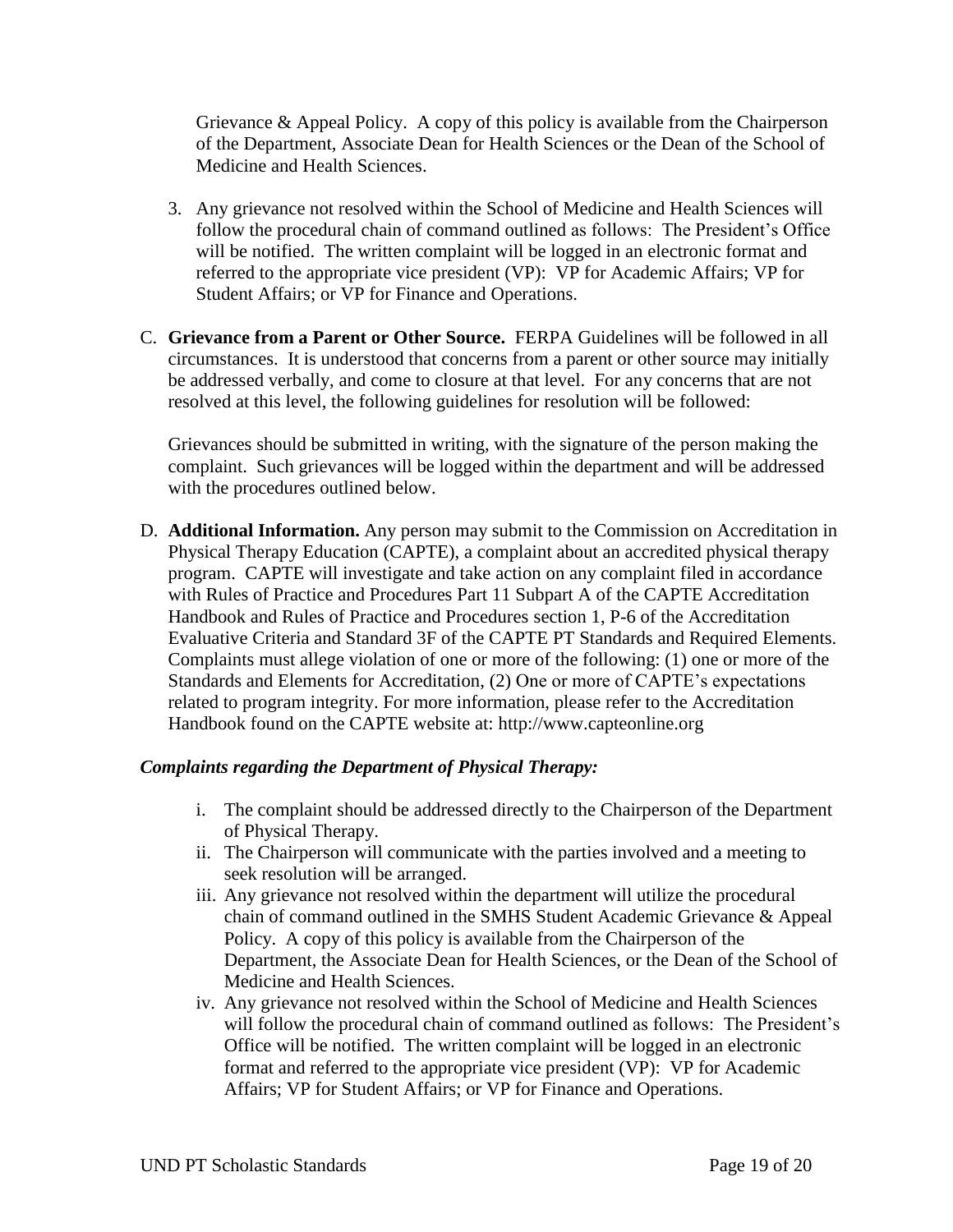Grievance & Appeal Policy. A copy of this policy is available from the Chairperson of the Department, Associate Dean for Health Sciences or the Dean of the School of Medicine and Health Sciences.

- 3. Any grievance not resolved within the School of Medicine and Health Sciences will follow the procedural chain of command outlined as follows: The President's Office will be notified. The written complaint will be logged in an electronic format and referred to the appropriate vice president (VP): VP for Academic Affairs; VP for Student Affairs; or VP for Finance and Operations.
- C. **Grievance from a Parent or Other Source.** FERPA Guidelines will be followed in all circumstances. It is understood that concerns from a parent or other source may initially be addressed verbally, and come to closure at that level. For any concerns that are not resolved at this level, the following guidelines for resolution will be followed:

Grievances should be submitted in writing, with the signature of the person making the complaint. Such grievances will be logged within the department and will be addressed with the procedures outlined below.

D. **Additional Information.** Any person may submit to the Commission on Accreditation in Physical Therapy Education (CAPTE), a complaint about an accredited physical therapy program. CAPTE will investigate and take action on any complaint filed in accordance with Rules of Practice and Procedures Part 11 Subpart A of the CAPTE Accreditation Handbook and Rules of Practice and Procedures section 1, P-6 of the Accreditation Evaluative Criteria and Standard 3F of the CAPTE PT Standards and Required Elements. Complaints must allege violation of one or more of the following: (1) one or more of the Standards and Elements for Accreditation, (2) One or more of CAPTE's expectations related to program integrity. For more information, please refer to the Accreditation Handbook found on the CAPTE website at: http://www.capteonline.org

## *Complaints regarding the Department of Physical Therapy:*

- i. The complaint should be addressed directly to the Chairperson of the Department of Physical Therapy.
- ii. The Chairperson will communicate with the parties involved and a meeting to seek resolution will be arranged.
- iii. Any grievance not resolved within the department will utilize the procedural chain of command outlined in the SMHS Student Academic Grievance & Appeal Policy. A copy of this policy is available from the Chairperson of the Department, the Associate Dean for Health Sciences, or the Dean of the School of Medicine and Health Sciences.
- iv. Any grievance not resolved within the School of Medicine and Health Sciences will follow the procedural chain of command outlined as follows: The President's Office will be notified. The written complaint will be logged in an electronic format and referred to the appropriate vice president (VP): VP for Academic Affairs; VP for Student Affairs; or VP for Finance and Operations.